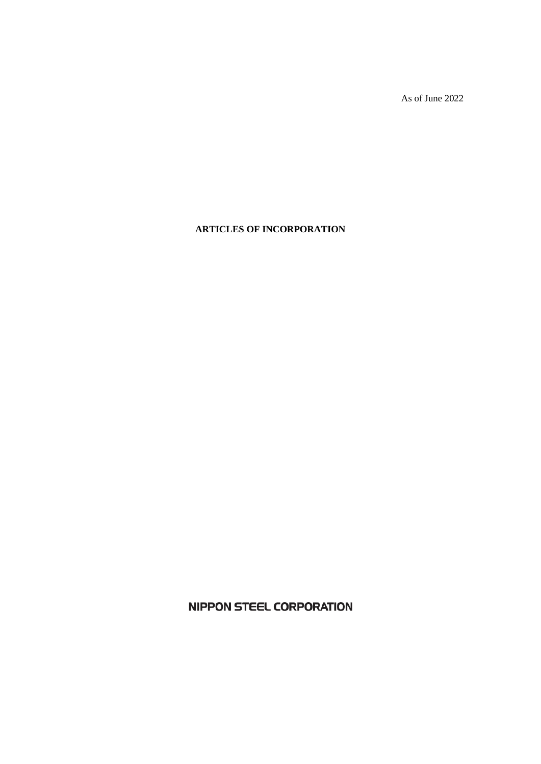As of June 2022

# **ARTICLES OF INCORPORATION**

**NIPPON STEEL CORPORATION**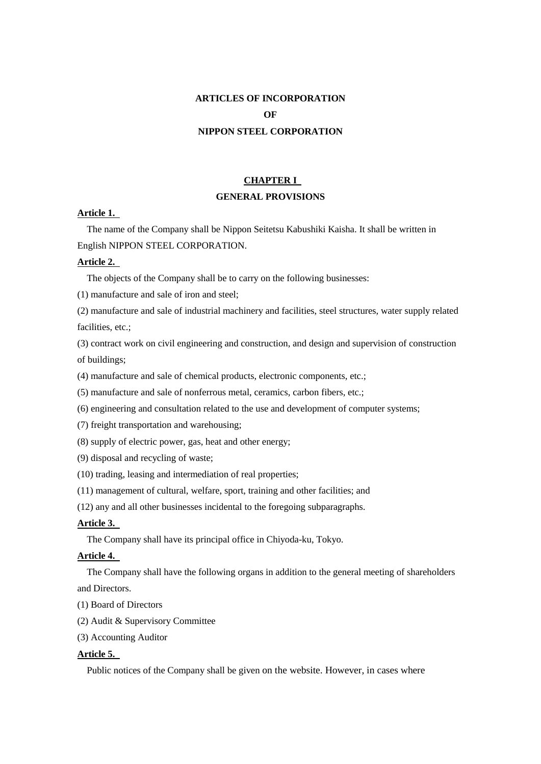# **ARTICLES OF INCORPORATION OF NIPPON STEEL CORPORATION**

# **CHAPTER I GENERAL PROVISIONS**

# **Article 1.**

The name of the Company shall be Nippon Seitetsu Kabushiki Kaisha. It shall be written in English NIPPON STEEL CORPORATION.

### **Article 2.**

The objects of the Company shall be to carry on the following businesses:

(1) manufacture and sale of iron and steel;

(2) manufacture and sale of industrial machinery and facilities, steel structures, water supply related facilities, etc.;

(3) contract work on civil engineering and construction, and design and supervision of construction of buildings;

(4) manufacture and sale of chemical products, electronic components, etc.;

(5) manufacture and sale of nonferrous metal, ceramics, carbon fibers, etc.;

(6) engineering and consultation related to the use and development of computer systems;

(7) freight transportation and warehousing;

(8) supply of electric power, gas, heat and other energy;

(9) disposal and recycling of waste;

(10) trading, leasing and intermediation of real properties;

(11) management of cultural, welfare, sport, training and other facilities; and

(12) any and all other businesses incidental to the foregoing subparagraphs.

# **Article 3.**

The Company shall have its principal office in Chiyoda-ku, Tokyo.

## **Article 4.**

The Company shall have the following organs in addition to the general meeting of shareholders and Directors.

(1) Board of Directors

(2) Audit & Supervisory Committee

(3) Accounting Auditor

## **Article 5.**

Public notices of the Company shall be given on the website. However, in cases where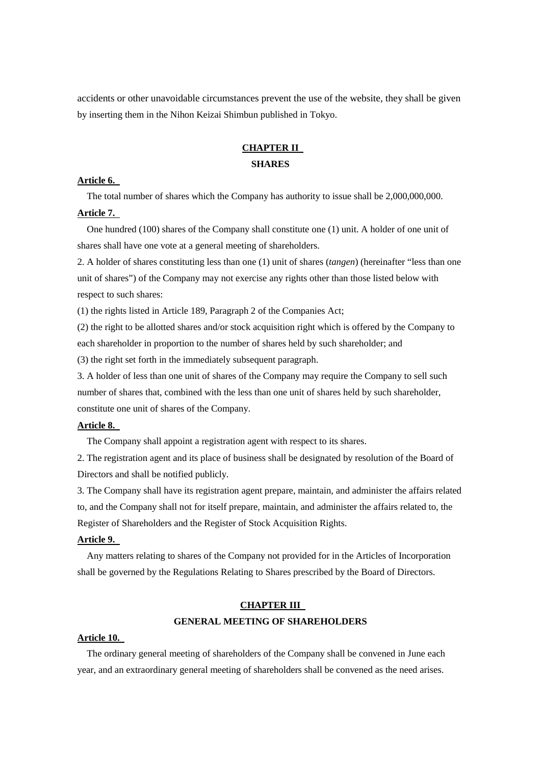accidents or other unavoidable circumstances prevent the use of the website, they shall be given by inserting them in the Nihon Keizai Shimbun published in Tokyo.

# **CHAPTER II SHARES**

### **Article 6.**

The total number of shares which the Company has authority to issue shall be 2,000,000,000.

## **Article 7.**

One hundred (100) shares of the Company shall constitute one (1) unit. A holder of one unit of shares shall have one vote at a general meeting of shareholders.

2. A holder of shares constituting less than one (1) unit of shares (*tangen*) (hereinafter "less than one unit of shares") of the Company may not exercise any rights other than those listed below with respect to such shares:

(1) the rights listed in Article 189, Paragraph 2 of the Companies Act;

(2) the right to be allotted shares and/or stock acquisition right which is offered by the Company to each shareholder in proportion to the number of shares held by such shareholder; and (3) the right set forth in the immediately subsequent paragraph.

3. A holder of less than one unit of shares of the Company may require the Company to sell such number of shares that, combined with the less than one unit of shares held by such shareholder, constitute one unit of shares of the Company.

### **Article 8.**

The Company shall appoint a registration agent with respect to its shares.

2. The registration agent and its place of business shall be designated by resolution of the Board of Directors and shall be notified publicly.

3. The Company shall have its registration agent prepare, maintain, and administer the affairs related to, and the Company shall not for itself prepare, maintain, and administer the affairs related to, the Register of Shareholders and the Register of Stock Acquisition Rights.

# **Article 9.**

Any matters relating to shares of the Company not provided for in the Articles of Incorporation shall be governed by the Regulations Relating to Shares prescribed by the Board of Directors.

# **CHAPTER III GENERAL MEETING OF SHAREHOLDERS**

#### **Article 10.**

The ordinary general meeting of shareholders of the Company shall be convened in June each year, and an extraordinary general meeting of shareholders shall be convened as the need arises.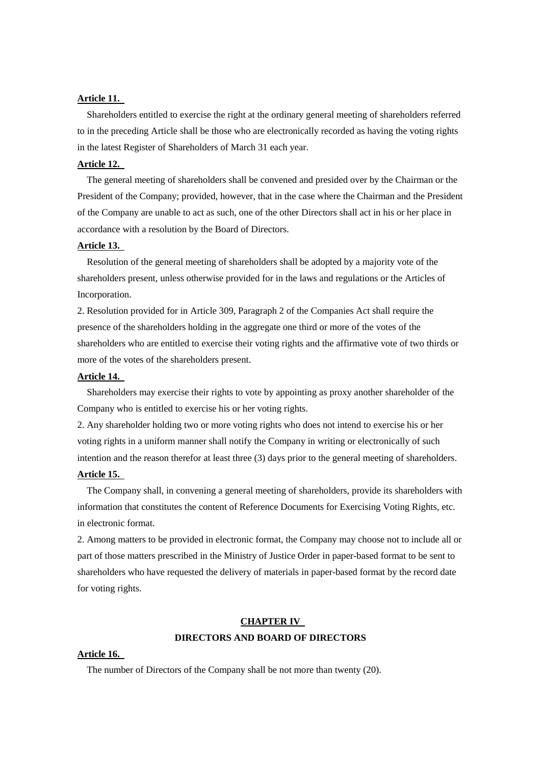## **Article 11.**

Shareholders entitled to exercise the right at the ordinary general meeting of shareholders referred to in the preceding Article shall be those who are electronically recorded as having the voting rights in the latest Register of Shareholders of March 31 each year.

#### **Article 12.**

The general meeting of shareholders shall be convened and presided over by the Chairman or the President of the Company; provided, however, that in the case where the Chairman and the President of the Company are unable to act as such, one of the other Directors shall act in his or her place in accordance with a resolution by the Board of Directors.

#### **Article 13.**

Resolution of the general meeting of shareholders shall be adopted by a majority vote of the shareholders present, unless otherwise provided for in the laws and regulations or the Articles of Incorporation.

2. Resolution provided for in Article 309, Paragraph 2 of the Companies Act shall require the presence of the shareholders holding in the aggregate one third or more of the votes of the shareholders who are entitled to exercise their voting rights and the affirmative vote of two thirds or more of the votes of the shareholders present.

### **Article 14.**

Shareholders may exercise their rights to vote by appointing as proxy another shareholder of the Company who is entitled to exercise his or her voting rights.

2. Any shareholder holding two or more voting rights who does not intend to exercise his or her voting rights in a uniform manner shall notify the Company in writing or electronically of such intention and the reason therefor at least three (3) days prior to the general meeting of shareholders. **Article 15.** 

The Company shall, in convening a general meeting of shareholders, provide its shareholders with information that constitutes the content of Reference Documents for Exercising Voting Rights, etc. in electronic format.

2. Among matters to be provided in electronic format, the Company may choose not to include all or part of those matters prescribed in the Ministry of Justice Order in paper-based format to be sent to shareholders who have requested the delivery of materials in paper-based format by the record date for voting rights.

# **CHAPTER IV DIRECTORS AND BOARD OF DIRECTORS**

#### **Article 16.**

The number of Directors of the Company shall be not more than twenty (20).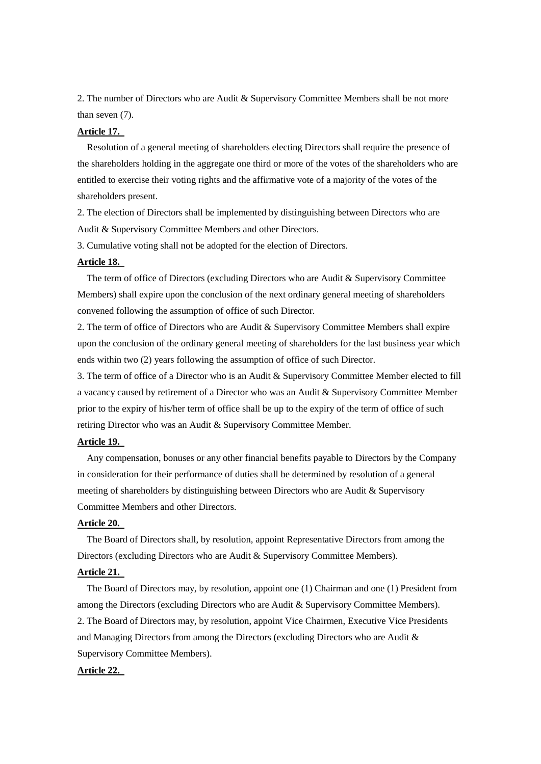2. The number of Directors who are Audit & Supervisory Committee Members shall be not more than seven (7).

### **Article 17.**

Resolution of a general meeting of shareholders electing Directors shall require the presence of the shareholders holding in the aggregate one third or more of the votes of the shareholders who are entitled to exercise their voting rights and the affirmative vote of a majority of the votes of the shareholders present.

2. The election of Directors shall be implemented by distinguishing between Directors who are Audit & Supervisory Committee Members and other Directors.

3. Cumulative voting shall not be adopted for the election of Directors.

### **Article 18.**

The term of office of Directors (excluding Directors who are Audit & Supervisory Committee Members) shall expire upon the conclusion of the next ordinary general meeting of shareholders convened following the assumption of office of such Director.

2. The term of office of Directors who are Audit & Supervisory Committee Members shall expire upon the conclusion of the ordinary general meeting of shareholders for the last business year which ends within two (2) years following the assumption of office of such Director.

3. The term of office of a Director who is an Audit & Supervisory Committee Member elected to fill a vacancy caused by retirement of a Director who was an Audit & Supervisory Committee Member prior to the expiry of his/her term of office shall be up to the expiry of the term of office of such retiring Director who was an Audit & Supervisory Committee Member.

#### **Article 19.**

Any compensation, bonuses or any other financial benefits payable to Directors by the Company in consideration for their performance of duties shall be determined by resolution of a general meeting of shareholders by distinguishing between Directors who are Audit & Supervisory Committee Members and other Directors.

# **Article 20.**

The Board of Directors shall, by resolution, appoint Representative Directors from among the Directors (excluding Directors who are Audit & Supervisory Committee Members).

# **Article 21.**

The Board of Directors may, by resolution, appoint one (1) Chairman and one (1) President from among the Directors (excluding Directors who are Audit & Supervisory Committee Members). 2. The Board of Directors may, by resolution, appoint Vice Chairmen, Executive Vice Presidents and Managing Directors from among the Directors (excluding Directors who are Audit & Supervisory Committee Members).

### **Article 22.**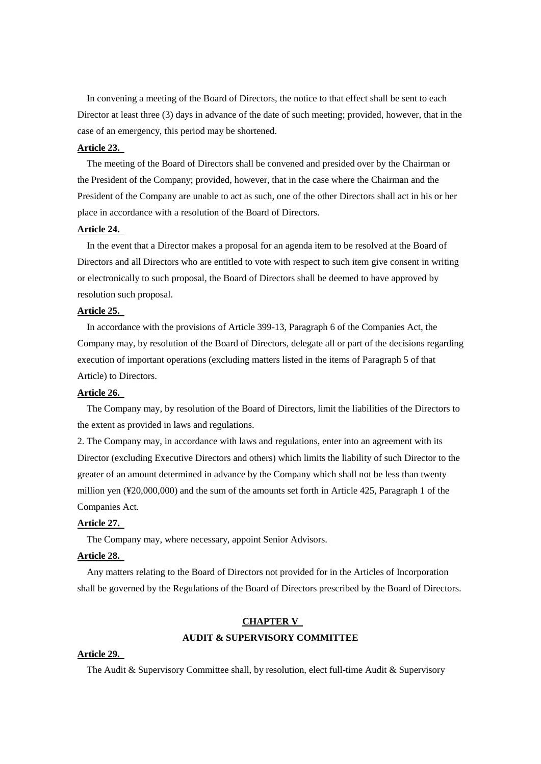In convening a meeting of the Board of Directors, the notice to that effect shall be sent to each Director at least three (3) days in advance of the date of such meeting; provided, however, that in the case of an emergency, this period may be shortened.

## **Article 23.**

The meeting of the Board of Directors shall be convened and presided over by the Chairman or the President of the Company; provided, however, that in the case where the Chairman and the President of the Company are unable to act as such, one of the other Directors shall act in his or her place in accordance with a resolution of the Board of Directors.

## **Article 24.**

In the event that a Director makes a proposal for an agenda item to be resolved at the Board of Directors and all Directors who are entitled to vote with respect to such item give consent in writing or electronically to such proposal, the Board of Directors shall be deemed to have approved by resolution such proposal.

### **Article 25.**

In accordance with the provisions of Article 399-13, Paragraph 6 of the Companies Act, the Company may, by resolution of the Board of Directors, delegate all or part of the decisions regarding execution of important operations (excluding matters listed in the items of Paragraph 5 of that Article) to Directors.

#### **Article 26.**

The Company may, by resolution of the Board of Directors, limit the liabilities of the Directors to the extent as provided in laws and regulations.

2. The Company may, in accordance with laws and regulations, enter into an agreement with its Director (excluding Executive Directors and others) which limits the liability of such Director to the greater of an amount determined in advance by the Company which shall not be less than twenty million yen (¥20,000,000) and the sum of the amounts set forth in Article 425, Paragraph 1 of the Companies Act.

# **Article 27.**

The Company may, where necessary, appoint Senior Advisors.

### **Article 28.**

Any matters relating to the Board of Directors not provided for in the Articles of Incorporation shall be governed by the Regulations of the Board of Directors prescribed by the Board of Directors.

# **CHAPTER V AUDIT & SUPERVISORY COMMITTEE**

#### **Article 29.**

The Audit & Supervisory Committee shall, by resolution, elect full-time Audit & Supervisory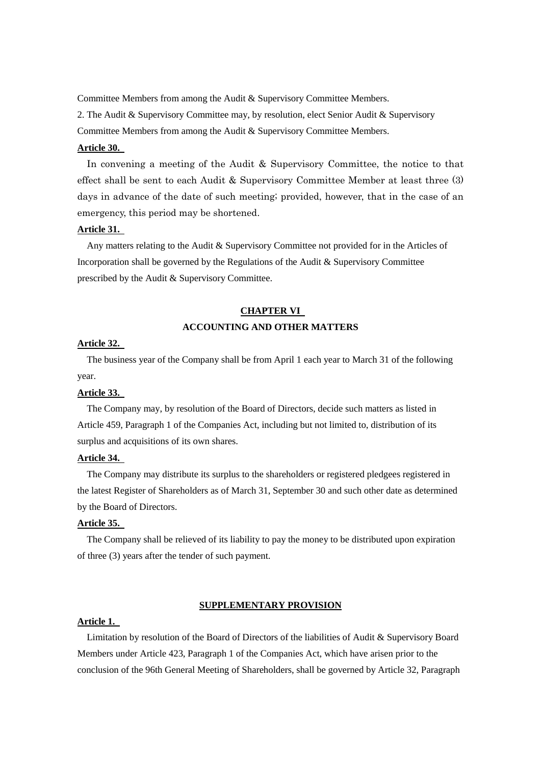Committee Members from among the Audit & Supervisory Committee Members.

2. The Audit & Supervisory Committee may, by resolution, elect Senior Audit & Supervisory Committee Members from among the Audit & Supervisory Committee Members.

### **Article 30.**

In convening a meeting of the Audit & Supervisory Committee, the notice to that effect shall be sent to each Audit & Supervisory Committee Member at least three (3) days in advance of the date of such meeting; provided, however, that in the case of an emergency, this period may be shortened.

### **Article 31.**

Any matters relating to the Audit & Supervisory Committee not provided for in the Articles of Incorporation shall be governed by the Regulations of the Audit & Supervisory Committee prescribed by the Audit & Supervisory Committee.

# **CHAPTER VI ACCOUNTING AND OTHER MATTERS**

## **Article 32.**

The business year of the Company shall be from April 1 each year to March 31 of the following year.

#### **Article 33.**

The Company may, by resolution of the Board of Directors, decide such matters as listed in Article 459, Paragraph 1 of the Companies Act, including but not limited to, distribution of its surplus and acquisitions of its own shares.

### **Article 34.**

The Company may distribute its surplus to the shareholders or registered pledgees registered in the latest Register of Shareholders as of March 31, September 30 and such other date as determined by the Board of Directors.

## **Article 35.**

The Company shall be relieved of its liability to pay the money to be distributed upon expiration of three (3) years after the tender of such payment.

#### **SUPPLEMENTARY PROVISION**

### **Article 1.**

Limitation by resolution of the Board of Directors of the liabilities of Audit & Supervisory Board Members under Article 423, Paragraph 1 of the Companies Act, which have arisen prior to the conclusion of the 96th General Meeting of Shareholders, shall be governed by Article 32, Paragraph